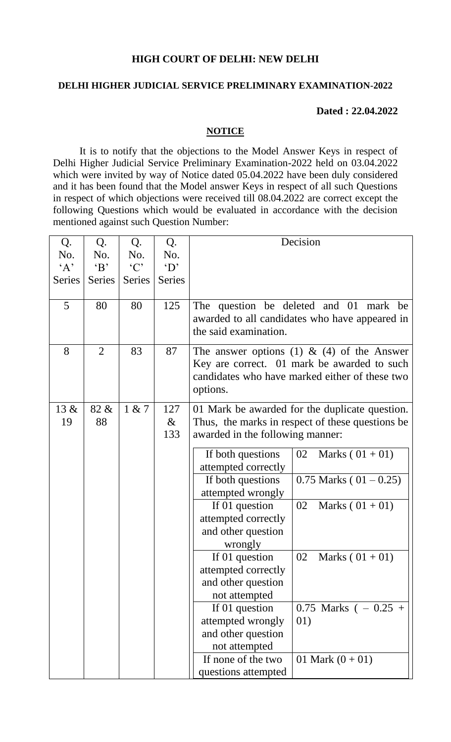## **HIGH COURT OF DELHI: NEW DELHI**

## **DELHI HIGHER JUDICIAL SERVICE PRELIMINARY EXAMINATION-2022**

## **Dated : 22.04.2022**

## **NOTICE**

It is to notify that the objections to the Model Answer Keys in respect of Delhi Higher Judicial Service Preliminary Examination-2022 held on 03.04.2022 which were invited by way of Notice dated 05.04.2022 have been duly considered and it has been found that the Model answer Keys in respect of all such Questions in respect of which objections were received till 08.04.2022 are correct except the following Questions which would be evaluated in accordance with the decision mentioned against such Question Number:

| Q.       | Q.             | Q.            | Q.            |                                  | Decision                                                                                                                                    |
|----------|----------------|---------------|---------------|----------------------------------|---------------------------------------------------------------------------------------------------------------------------------------------|
| No.      | No.            | No.           | No.           |                                  |                                                                                                                                             |
| $\Delta$ | $\mathbf{B}$   | °C            | $\Delta$      |                                  |                                                                                                                                             |
| Series   | <b>Series</b>  | <b>Series</b> | <b>Series</b> |                                  |                                                                                                                                             |
| 5        | 80             | 80            | 125           | the said examination.            | The question be deleted and 01 mark be<br>awarded to all candidates who have appeared in                                                    |
| 8        | $\overline{2}$ | 83            | 87            | options.                         | The answer options (1) & (4) of the Answer<br>Key are correct. 01 mark be awarded to such<br>candidates who have marked either of these two |
| $13 \&$  | 82 &           | 1 & 7         | 127           |                                  | 01 Mark be awarded for the duplicate question.                                                                                              |
| 19       | 88             |               | $\&$          |                                  | Thus, the marks in respect of these questions be                                                                                            |
|          |                |               | 133           | awarded in the following manner: |                                                                                                                                             |
|          |                |               |               | If both questions                | 02<br>Marks $(01 + 01)$                                                                                                                     |
|          |                |               |               | attempted correctly              |                                                                                                                                             |
|          |                |               |               | If both questions                | $0.75$ Marks ( $01 - 0.25$ )                                                                                                                |
|          |                |               |               | attempted wrongly                |                                                                                                                                             |
|          |                |               |               | If 01 question                   | 02<br>Marks $(01 + 01)$                                                                                                                     |
|          |                |               |               | attempted correctly              |                                                                                                                                             |
|          |                |               |               | and other question               |                                                                                                                                             |
|          |                |               |               | wrongly                          |                                                                                                                                             |
|          |                |               |               | If 01 question                   | 02<br>Marks $(01 + 01)$                                                                                                                     |
|          |                |               |               | attempted correctly              |                                                                                                                                             |
|          |                |               |               | and other question               |                                                                                                                                             |
|          |                |               |               | not attempted                    |                                                                                                                                             |
|          |                |               |               | If 01 question                   | 0.75 Marks ( $-0.25 +$                                                                                                                      |
|          |                |               |               | attempted wrongly                | 01)                                                                                                                                         |
|          |                |               |               | and other question               |                                                                                                                                             |
|          |                |               |               | not attempted                    |                                                                                                                                             |
|          |                |               |               | If none of the two               | 01 Mark $(0+01)$                                                                                                                            |
|          |                |               |               | questions attempted              |                                                                                                                                             |